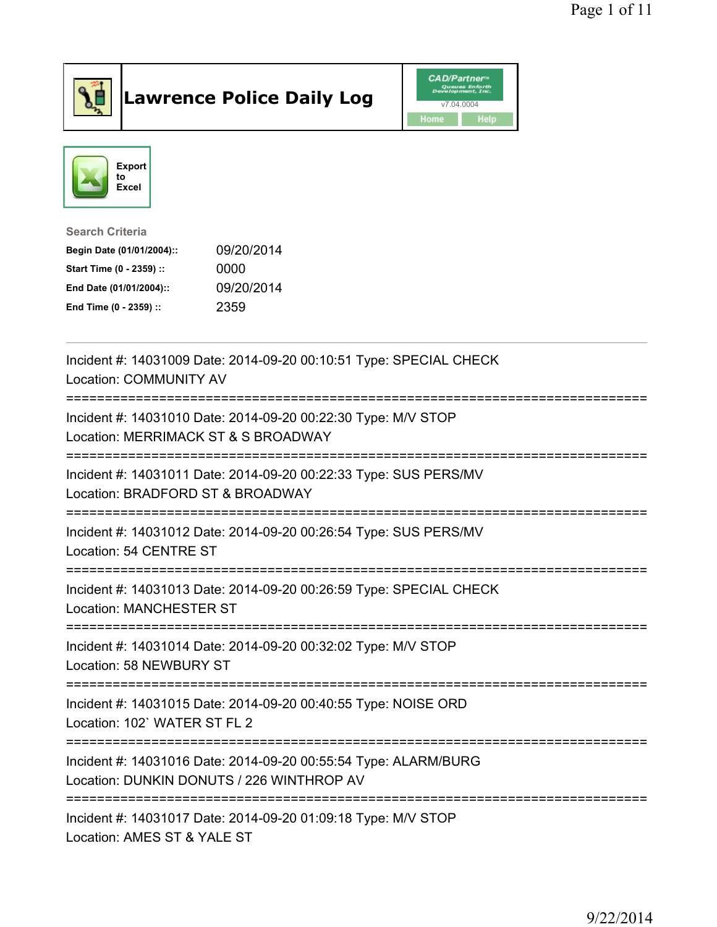

## Lawrence Police Daily Log **Daniel CAD/Partner**





Search Criteria Begin Date (01/01/2004):: 09/20/2014 Start Time (0 - 2359) :: 0000 End Date (01/01/2004):: 09/20/2014 End Time (0 - 2359) :: 2359

| Incident #: 14031009 Date: 2014-09-20 00:10:51 Type: SPECIAL CHECK<br><b>Location: COMMUNITY AV</b>                                      |
|------------------------------------------------------------------------------------------------------------------------------------------|
| Incident #: 14031010 Date: 2014-09-20 00:22:30 Type: M/V STOP<br>Location: MERRIMACK ST & S BROADWAY<br>;=============================== |
| Incident #: 14031011 Date: 2014-09-20 00:22:33 Type: SUS PERS/MV<br>Location: BRADFORD ST & BROADWAY                                     |
| Incident #: 14031012 Date: 2014-09-20 00:26:54 Type: SUS PERS/MV<br>Location: 54 CENTRE ST                                               |
| Incident #: 14031013 Date: 2014-09-20 00:26:59 Type: SPECIAL CHECK<br><b>Location: MANCHESTER ST</b>                                     |
| Incident #: 14031014 Date: 2014-09-20 00:32:02 Type: M/V STOP<br>Location: 58 NEWBURY ST                                                 |
| Incident #: 14031015 Date: 2014-09-20 00:40:55 Type: NOISE ORD<br>Location: 102' WATER ST FL 2                                           |
| Incident #: 14031016 Date: 2014-09-20 00:55:54 Type: ALARM/BURG<br>Location: DUNKIN DONUTS / 226 WINTHROP AV                             |
| Incident #: 14031017 Date: 2014-09-20 01:09:18 Type: M/V STOP<br>Location: AMES ST & YALE ST                                             |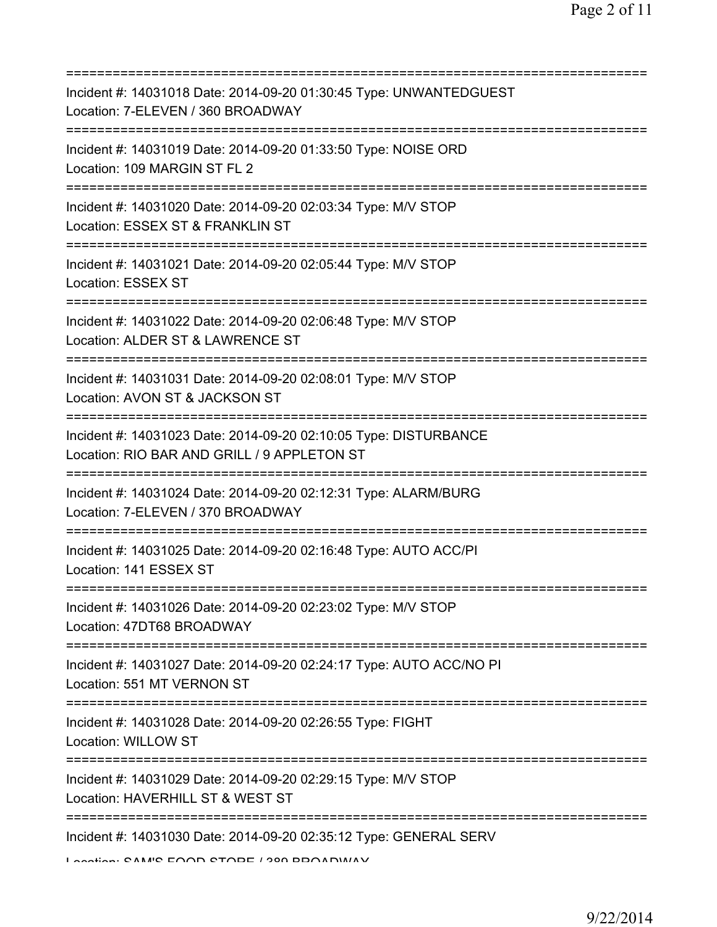| Incident #: 14031018 Date: 2014-09-20 01:30:45 Type: UNWANTEDGUEST<br>Location: 7-ELEVEN / 360 BROADWAY                       |
|-------------------------------------------------------------------------------------------------------------------------------|
| Incident #: 14031019 Date: 2014-09-20 01:33:50 Type: NOISE ORD<br>Location: 109 MARGIN ST FL 2                                |
| Incident #: 14031020 Date: 2014-09-20 02:03:34 Type: M/V STOP<br>Location: ESSEX ST & FRANKLIN ST                             |
| Incident #: 14031021 Date: 2014-09-20 02:05:44 Type: M/V STOP<br>Location: ESSEX ST                                           |
| Incident #: 14031022 Date: 2014-09-20 02:06:48 Type: M/V STOP<br>Location: ALDER ST & LAWRENCE ST                             |
| Incident #: 14031031 Date: 2014-09-20 02:08:01 Type: M/V STOP<br>Location: AVON ST & JACKSON ST                               |
| Incident #: 14031023 Date: 2014-09-20 02:10:05 Type: DISTURBANCE<br>Location: RIO BAR AND GRILL / 9 APPLETON ST               |
| :====================<br>Incident #: 14031024 Date: 2014-09-20 02:12:31 Type: ALARM/BURG<br>Location: 7-ELEVEN / 370 BROADWAY |
| Incident #: 14031025 Date: 2014-09-20 02:16:48 Type: AUTO ACC/PI<br>Location: 141 ESSEX ST                                    |
| Incident #: 14031026 Date: 2014-09-20 02:23:02 Type: M/V STOP<br>Location: 47DT68 BROADWAY                                    |
| Incident #: 14031027 Date: 2014-09-20 02:24:17 Type: AUTO ACC/NO PI<br>Location: 551 MT VERNON ST                             |
| Incident #: 14031028 Date: 2014-09-20 02:26:55 Type: FIGHT<br>Location: WILLOW ST                                             |
| Incident #: 14031029 Date: 2014-09-20 02:29:15 Type: M/V STOP<br>Location: HAVERHILL ST & WEST ST                             |
| Incident #: 14031030 Date: 2014-09-20 02:35:12 Type: GENERAL SERV<br>I sestion: CAMIC EOOD CTODE / 200 DDOADMIAV              |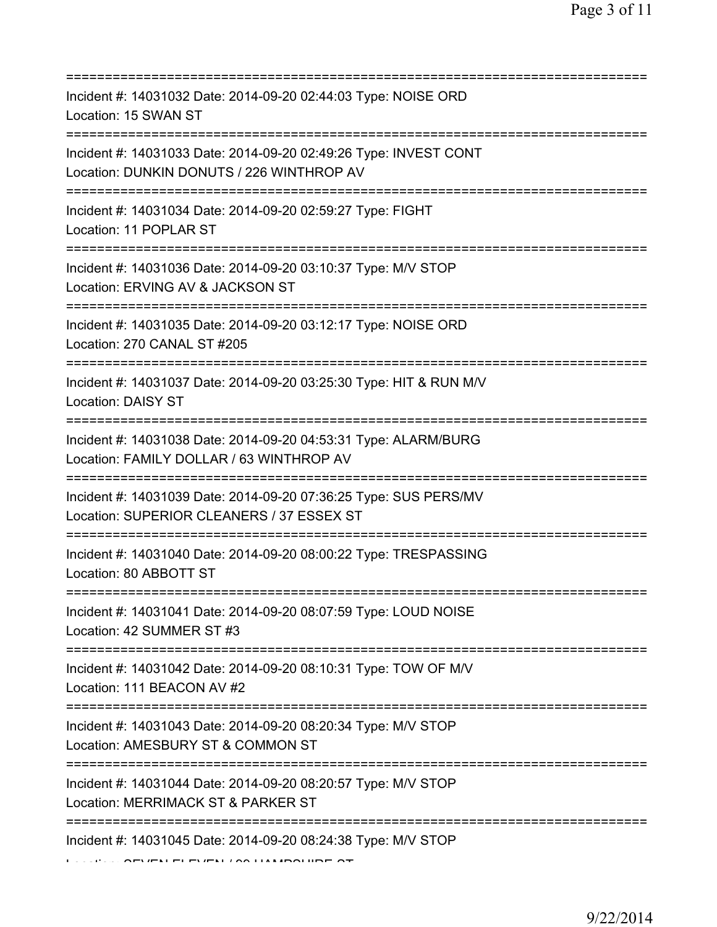| ===========================                                                                                                             |
|-----------------------------------------------------------------------------------------------------------------------------------------|
| Incident #: 14031032 Date: 2014-09-20 02:44:03 Type: NOISE ORD<br>Location: 15 SWAN ST                                                  |
| Incident #: 14031033 Date: 2014-09-20 02:49:26 Type: INVEST CONT<br>Location: DUNKIN DONUTS / 226 WINTHROP AV                           |
| Incident #: 14031034 Date: 2014-09-20 02:59:27 Type: FIGHT<br>Location: 11 POPLAR ST                                                    |
| Incident #: 14031036 Date: 2014-09-20 03:10:37 Type: M/V STOP<br>Location: ERVING AV & JACKSON ST                                       |
| Incident #: 14031035 Date: 2014-09-20 03:12:17 Type: NOISE ORD<br>Location: 270 CANAL ST #205<br>=====================================  |
| Incident #: 14031037 Date: 2014-09-20 03:25:30 Type: HIT & RUN M/V<br><b>Location: DAISY ST</b>                                         |
| Incident #: 14031038 Date: 2014-09-20 04:53:31 Type: ALARM/BURG<br>Location: FAMILY DOLLAR / 63 WINTHROP AV                             |
| Incident #: 14031039 Date: 2014-09-20 07:36:25 Type: SUS PERS/MV<br>Location: SUPERIOR CLEANERS / 37 ESSEX ST                           |
| Incident #: 14031040 Date: 2014-09-20 08:00:22 Type: TRESPASSING<br>Location: 80 ABBOTT ST                                              |
| Incident #: 14031041 Date: 2014-09-20 08:07:59 Type: LOUD NOISE<br>Location: 42 SUMMER ST #3                                            |
| Incident #: 14031042 Date: 2014-09-20 08:10:31 Type: TOW OF M/V<br>Location: 111 BEACON AV #2<br>====================================== |
| Incident #: 14031043 Date: 2014-09-20 08:20:34 Type: M/V STOP<br>Location: AMESBURY ST & COMMON ST                                      |
| Incident #: 14031044 Date: 2014-09-20 08:20:57 Type: M/V STOP<br>Location: MERRIMACK ST & PARKER ST                                     |
| ==================<br>Incident #: 14031045 Date: 2014-09-20 08:24:38 Type: M/V STOP                                                     |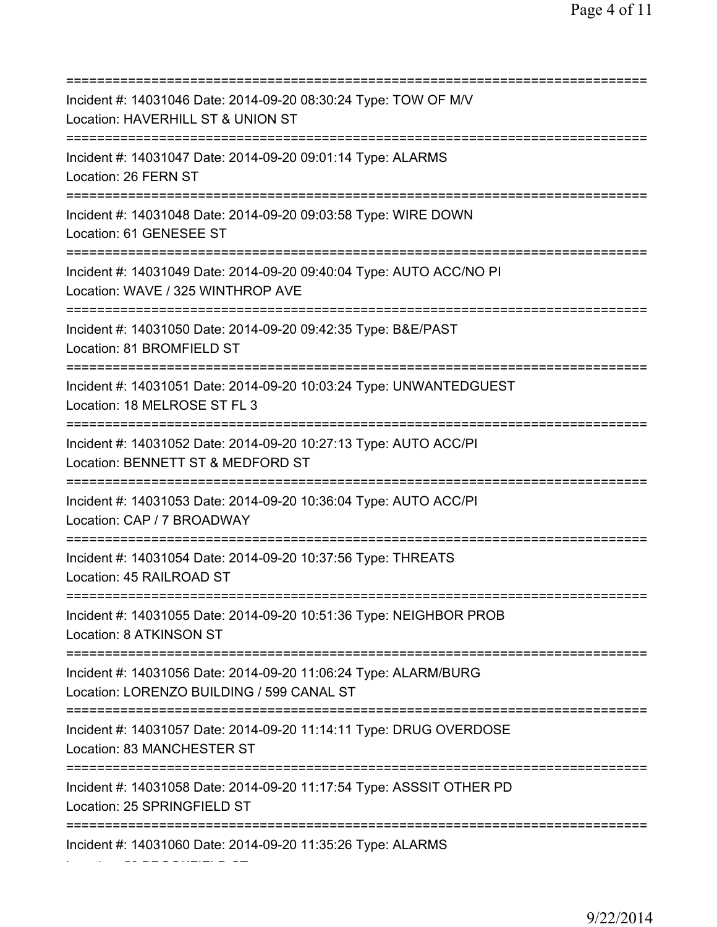=========================================================================== Incident #: 14031046 Date: 2014-09-20 08:30:24 Type: TOW OF M/V Location: HAVERHILL ST & UNION ST =========================================================================== Incident #: 14031047 Date: 2014-09-20 09:01:14 Type: ALARMS Location: 26 FERN ST =========================================================================== Incident #: 14031048 Date: 2014-09-20 09:03:58 Type: WIRE DOWN Location: 61 GENESEE ST =========================================================================== Incident #: 14031049 Date: 2014-09-20 09:40:04 Type: AUTO ACC/NO PI Location: WAVE / 325 WINTHROP AVE =========================================================================== Incident #: 14031050 Date: 2014-09-20 09:42:35 Type: B&E/PAST Location: 81 BROMFIELD ST =========================================================================== Incident #: 14031051 Date: 2014-09-20 10:03:24 Type: UNWANTEDGUEST Location: 18 MELROSE ST FL 3 =========================================================================== Incident #: 14031052 Date: 2014-09-20 10:27:13 Type: AUTO ACC/PI Location: BENNETT ST & MEDFORD ST =========================================================================== Incident #: 14031053 Date: 2014-09-20 10:36:04 Type: AUTO ACC/PI Location: CAP / 7 BROADWAY =========================================================================== Incident #: 14031054 Date: 2014-09-20 10:37:56 Type: THREATS Location: 45 RAILROAD ST =========================================================================== Incident #: 14031055 Date: 2014-09-20 10:51:36 Type: NEIGHBOR PROB Location: 8 ATKINSON ST =========================================================================== Incident #: 14031056 Date: 2014-09-20 11:06:24 Type: ALARM/BURG Location: LORENZO BUILDING / 599 CANAL ST =========================================================================== Incident #: 14031057 Date: 2014-09-20 11:14:11 Type: DRUG OVERDOSE Location: 83 MANCHESTER ST =========================================================================== Incident #: 14031058 Date: 2014-09-20 11:17:54 Type: ASSSIT OTHER PD Location: 25 SPRINGFIELD ST =========================================================================== Incident #: 14031060 Date: 2014-09-20 11:35:26 Type: ALARMS

Location: 58 BROOKFIELD ST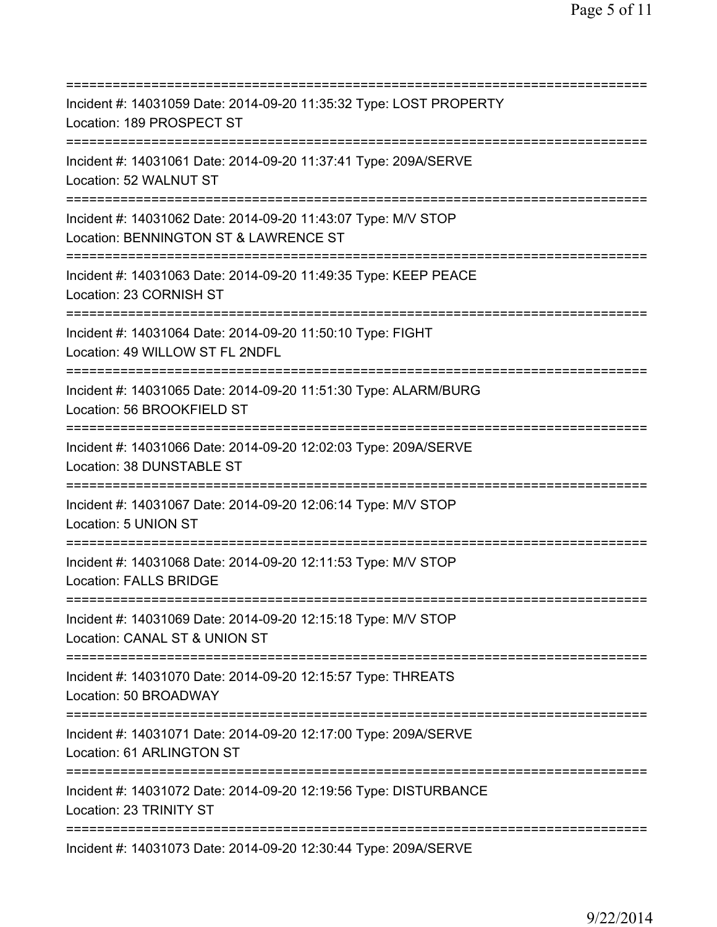| ===========================                                                                                                                    |
|------------------------------------------------------------------------------------------------------------------------------------------------|
| Incident #: 14031059 Date: 2014-09-20 11:35:32 Type: LOST PROPERTY<br>Location: 189 PROSPECT ST                                                |
| Incident #: 14031061 Date: 2014-09-20 11:37:41 Type: 209A/SERVE<br>Location: 52 WALNUT ST                                                      |
| Incident #: 14031062 Date: 2014-09-20 11:43:07 Type: M/V STOP<br>Location: BENNINGTON ST & LAWRENCE ST<br>==================================== |
| Incident #: 14031063 Date: 2014-09-20 11:49:35 Type: KEEP PEACE<br>Location: 23 CORNISH ST<br>================================                 |
| Incident #: 14031064 Date: 2014-09-20 11:50:10 Type: FIGHT<br>Location: 49 WILLOW ST FL 2NDFL                                                  |
| Incident #: 14031065 Date: 2014-09-20 11:51:30 Type: ALARM/BURG<br>Location: 56 BROOKFIELD ST<br>====================================          |
| Incident #: 14031066 Date: 2014-09-20 12:02:03 Type: 209A/SERVE<br>Location: 38 DUNSTABLE ST                                                   |
| Incident #: 14031067 Date: 2014-09-20 12:06:14 Type: M/V STOP<br>Location: 5 UNION ST<br>:======================                               |
| Incident #: 14031068 Date: 2014-09-20 12:11:53 Type: M/V STOP<br><b>Location: FALLS BRIDGE</b>                                                 |
| Incident #: 14031069 Date: 2014-09-20 12:15:18 Type: M/V STOP<br>Location: CANAL ST & UNION ST                                                 |
| Incident #: 14031070 Date: 2014-09-20 12:15:57 Type: THREATS<br>Location: 50 BROADWAY                                                          |
| Incident #: 14031071 Date: 2014-09-20 12:17:00 Type: 209A/SERVE<br>Location: 61 ARLINGTON ST                                                   |
| Incident #: 14031072 Date: 2014-09-20 12:19:56 Type: DISTURBANCE<br>Location: 23 TRINITY ST                                                    |
| ===================<br>Incident #: 14031073 Date: 2014-09-20 12:30:44 Type: 209A/SERVE                                                         |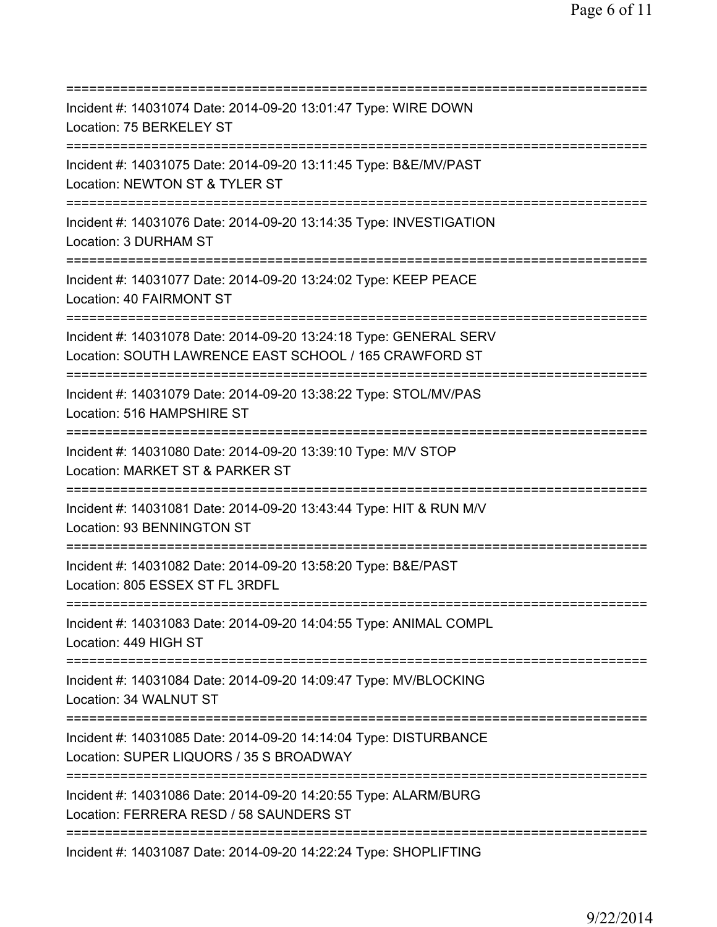| Incident #: 14031074 Date: 2014-09-20 13:01:47 Type: WIRE DOWN<br>Location: 75 BERKELEY ST                                           |
|--------------------------------------------------------------------------------------------------------------------------------------|
| Incident #: 14031075 Date: 2014-09-20 13:11:45 Type: B&E/MV/PAST<br>Location: NEWTON ST & TYLER ST                                   |
| Incident #: 14031076 Date: 2014-09-20 13:14:35 Type: INVESTIGATION<br>Location: 3 DURHAM ST<br>===================================== |
| Incident #: 14031077 Date: 2014-09-20 13:24:02 Type: KEEP PEACE<br>Location: 40 FAIRMONT ST<br>;==================================   |
| Incident #: 14031078 Date: 2014-09-20 13:24:18 Type: GENERAL SERV<br>Location: SOUTH LAWRENCE EAST SCHOOL / 165 CRAWFORD ST          |
| Incident #: 14031079 Date: 2014-09-20 13:38:22 Type: STOL/MV/PAS<br>Location: 516 HAMPSHIRE ST                                       |
| Incident #: 14031080 Date: 2014-09-20 13:39:10 Type: M/V STOP<br>Location: MARKET ST & PARKER ST                                     |
| Incident #: 14031081 Date: 2014-09-20 13:43:44 Type: HIT & RUN M/V<br>Location: 93 BENNINGTON ST                                     |
| Incident #: 14031082 Date: 2014-09-20 13:58:20 Type: B&E/PAST<br>Location: 805 ESSEX ST FL 3RDFL                                     |
| Incident #: 14031083 Date: 2014-09-20 14:04:55 Type: ANIMAL COMPL<br>Location: 449 HIGH ST                                           |
| Incident #: 14031084 Date: 2014-09-20 14:09:47 Type: MV/BLOCKING<br>Location: 34 WALNUT ST                                           |
| Incident #: 14031085 Date: 2014-09-20 14:14:04 Type: DISTURBANCE<br>Location: SUPER LIQUORS / 35 S BROADWAY                          |
| Incident #: 14031086 Date: 2014-09-20 14:20:55 Type: ALARM/BURG<br>Location: FERRERA RESD / 58 SAUNDERS ST                           |
| Incident #: 14031087 Date: 2014-09-20 14:22:24 Type: SHOPLIFTING                                                                     |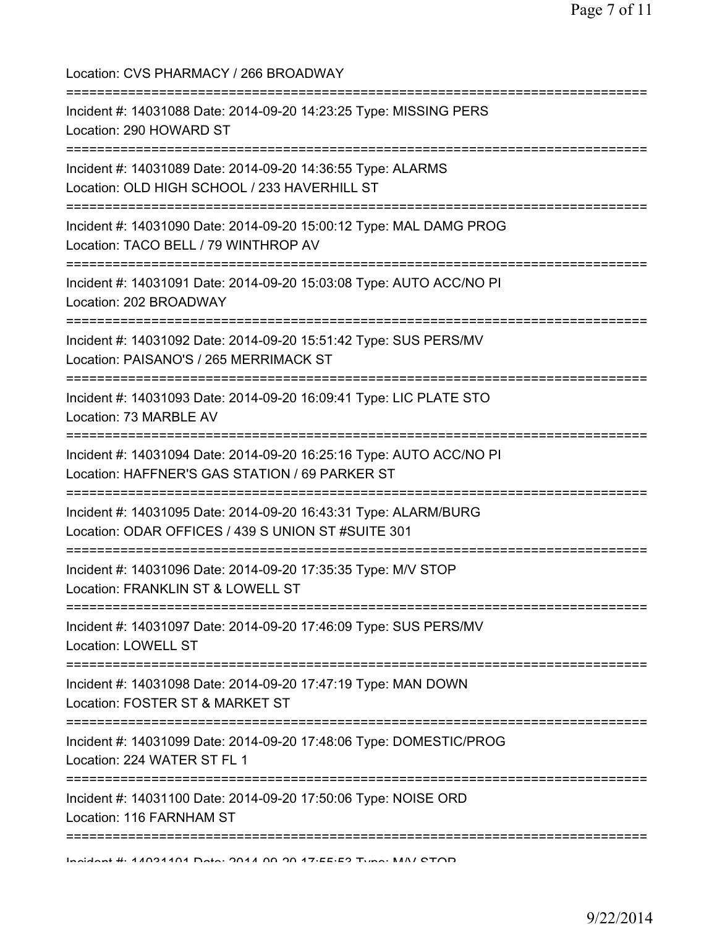| Location: CVS PHARMACY / 266 BROADWAY                                                                                                              |
|----------------------------------------------------------------------------------------------------------------------------------------------------|
| Incident #: 14031088 Date: 2014-09-20 14:23:25 Type: MISSING PERS<br>Location: 290 HOWARD ST<br>====================================               |
| Incident #: 14031089 Date: 2014-09-20 14:36:55 Type: ALARMS<br>Location: OLD HIGH SCHOOL / 233 HAVERHILL ST<br>:================================== |
| Incident #: 14031090 Date: 2014-09-20 15:00:12 Type: MAL DAMG PROG<br>Location: TACO BELL / 79 WINTHROP AV                                         |
| Incident #: 14031091 Date: 2014-09-20 15:03:08 Type: AUTO ACC/NO PI<br>Location: 202 BROADWAY                                                      |
| Incident #: 14031092 Date: 2014-09-20 15:51:42 Type: SUS PERS/MV<br>Location: PAISANO'S / 265 MERRIMACK ST                                         |
| Incident #: 14031093 Date: 2014-09-20 16:09:41 Type: LIC PLATE STO<br>Location: 73 MARBLE AV                                                       |
| Incident #: 14031094 Date: 2014-09-20 16:25:16 Type: AUTO ACC/NO PI<br>Location: HAFFNER'S GAS STATION / 69 PARKER ST                              |
| Incident #: 14031095 Date: 2014-09-20 16:43:31 Type: ALARM/BURG<br>Location: ODAR OFFICES / 439 S UNION ST#SUITE 301                               |
| ==============================<br>Incident #: 14031096 Date: 2014-09-20 17:35:35 Type: M/V STOP<br>Location: FRANKLIN ST & LOWELL ST               |
| Incident #: 14031097 Date: 2014-09-20 17:46:09 Type: SUS PERS/MV<br><b>Location: LOWELL ST</b>                                                     |
| ==============================<br>Incident #: 14031098 Date: 2014-09-20 17:47:19 Type: MAN DOWN<br>Location: FOSTER ST & MARKET ST                 |
| Incident #: 14031099 Date: 2014-09-20 17:48:06 Type: DOMESTIC/PROG<br>Location: 224 WATER ST FL 1                                                  |
| Incident #: 14031100 Date: 2014-09-20 17:50:06 Type: NOISE ORD<br>Location: 116 FARNHAM ST                                                         |
| , 2000 2000 2000 2001<br>Incident #: 44094404 Deta: 2044 00.20.47.EE.E2 Tune: MAN/ CTOD                                                            |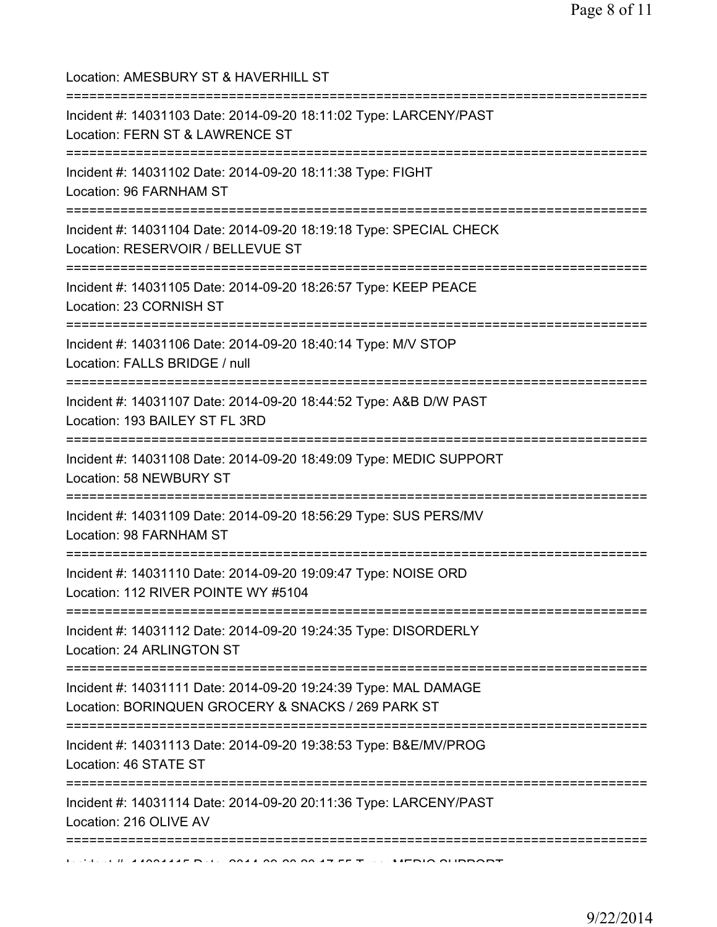| Location: AMESBURY ST & HAVERHILL ST<br>=====================================                                                     |
|-----------------------------------------------------------------------------------------------------------------------------------|
| Incident #: 14031103 Date: 2014-09-20 18:11:02 Type: LARCENY/PAST<br>Location: FERN ST & LAWRENCE ST<br>========================= |
| Incident #: 14031102 Date: 2014-09-20 18:11:38 Type: FIGHT<br>Location: 96 FARNHAM ST                                             |
| Incident #: 14031104 Date: 2014-09-20 18:19:18 Type: SPECIAL CHECK<br>Location: RESERVOIR / BELLEVUE ST                           |
| Incident #: 14031105 Date: 2014-09-20 18:26:57 Type: KEEP PEACE<br>Location: 23 CORNISH ST                                        |
| Incident #: 14031106 Date: 2014-09-20 18:40:14 Type: M/V STOP<br>Location: FALLS BRIDGE / null                                    |
| Incident #: 14031107 Date: 2014-09-20 18:44:52 Type: A&B D/W PAST<br>Location: 193 BAILEY ST FL 3RD                               |
| Incident #: 14031108 Date: 2014-09-20 18:49:09 Type: MEDIC SUPPORT<br>Location: 58 NEWBURY ST                                     |
| Incident #: 14031109 Date: 2014-09-20 18:56:29 Type: SUS PERS/MV<br>Location: 98 FARNHAM ST                                       |
| Incident #: 14031110 Date: 2014-09-20 19:09:47 Type: NOISE ORD<br>Location: 112 RIVER POINTE WY #5104                             |
| Incident #: 14031112 Date: 2014-09-20 19:24:35 Type: DISORDERLY<br>Location: 24 ARLINGTON ST                                      |
| Incident #: 14031111 Date: 2014-09-20 19:24:39 Type: MAL DAMAGE<br>Location: BORINQUEN GROCERY & SNACKS / 269 PARK ST             |
| Incident #: 14031113 Date: 2014-09-20 19:38:53 Type: B&E/MV/PROG<br>Location: 46 STATE ST                                         |
| Incident #: 14031114 Date: 2014-09-20 20:11:36 Type: LARCENY/PAST<br>Location: 216 OLIVE AV                                       |
|                                                                                                                                   |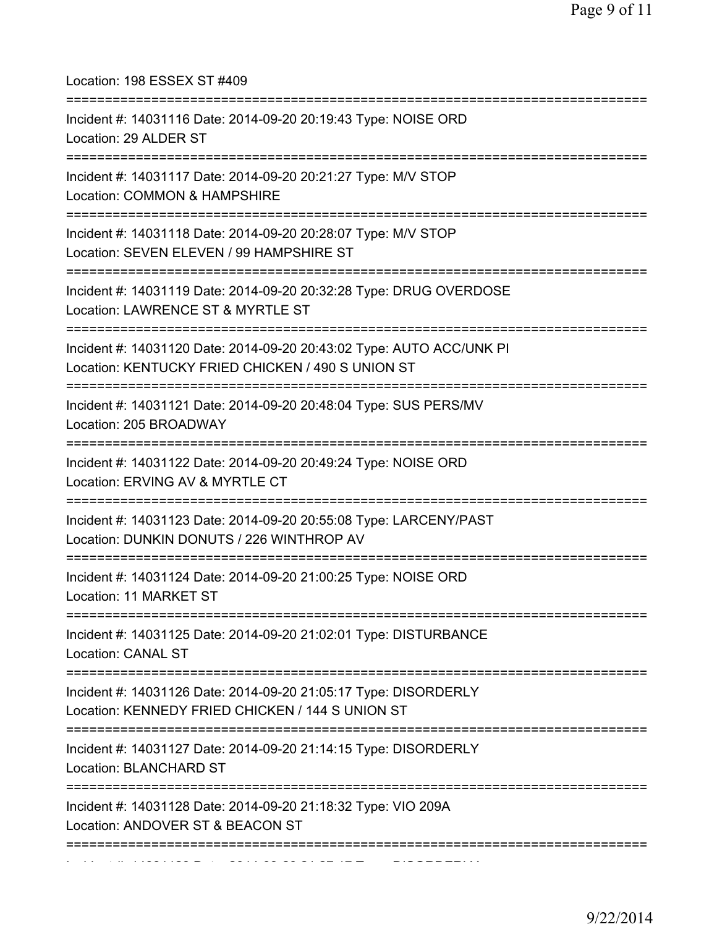| Location: 198 ESSEX ST #409                                                                                                              |
|------------------------------------------------------------------------------------------------------------------------------------------|
| Incident #: 14031116 Date: 2014-09-20 20:19:43 Type: NOISE ORD<br>Location: 29 ALDER ST                                                  |
| Incident #: 14031117 Date: 2014-09-20 20:21:27 Type: M/V STOP<br>Location: COMMON & HAMPSHIRE                                            |
| Incident #: 14031118 Date: 2014-09-20 20:28:07 Type: M/V STOP<br>Location: SEVEN ELEVEN / 99 HAMPSHIRE ST                                |
| Incident #: 14031119 Date: 2014-09-20 20:32:28 Type: DRUG OVERDOSE<br>Location: LAWRENCE ST & MYRTLE ST                                  |
| Incident #: 14031120 Date: 2014-09-20 20:43:02 Type: AUTO ACC/UNK PI<br>Location: KENTUCKY FRIED CHICKEN / 490 S UNION ST                |
| Incident #: 14031121 Date: 2014-09-20 20:48:04 Type: SUS PERS/MV<br>Location: 205 BROADWAY                                               |
| Incident #: 14031122 Date: 2014-09-20 20:49:24 Type: NOISE ORD<br>Location: ERVING AV & MYRTLE CT<br>=================================== |
| Incident #: 14031123 Date: 2014-09-20 20:55:08 Type: LARCENY/PAST<br>Location: DUNKIN DONUTS / 226 WINTHROP AV                           |
| Incident #: 14031124 Date: 2014-09-20 21:00:25 Type: NOISE ORD<br>Location: 11 MARKET ST                                                 |
| Incident #: 14031125 Date: 2014-09-20 21:02:01 Type: DISTURBANCE<br>Location: CANAL ST                                                   |
| Incident #: 14031126 Date: 2014-09-20 21:05:17 Type: DISORDERLY<br>Location: KENNEDY FRIED CHICKEN / 144 S UNION ST                      |
| Incident #: 14031127 Date: 2014-09-20 21:14:15 Type: DISORDERLY<br>Location: BLANCHARD ST                                                |
| Incident #: 14031128 Date: 2014-09-20 21:18:32 Type: VIO 209A<br>Location: ANDOVER ST & BEACON ST                                        |
| -------------------------------                                                                                                          |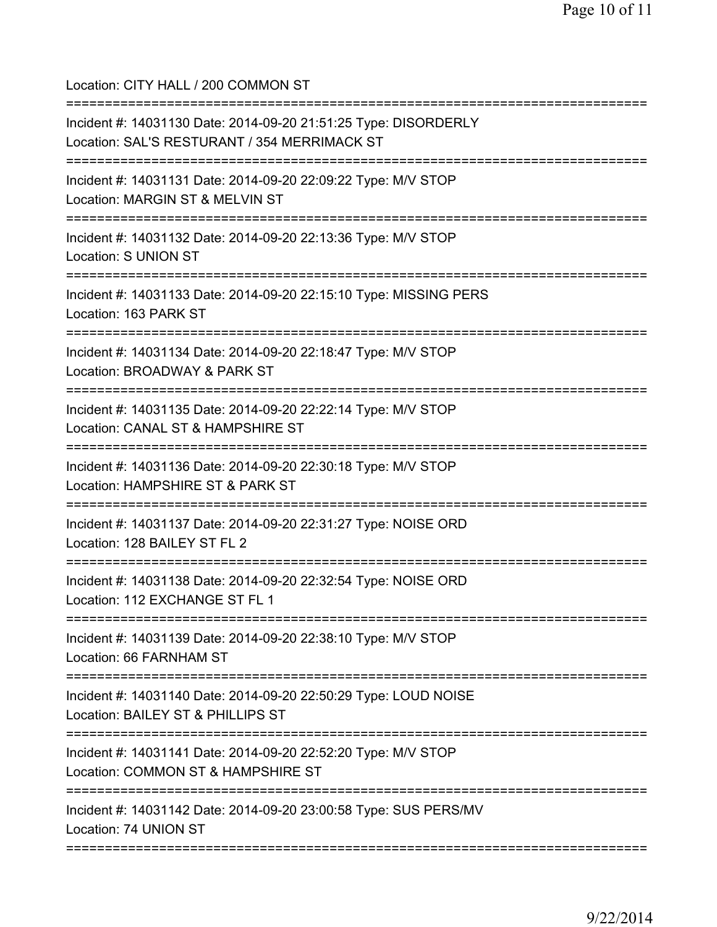Location: CITY HALL / 200 COMMON ST =========================================================================== Incident #: 14031130 Date: 2014-09-20 21:51:25 Type: DISORDERLY Location: SAL'S RESTURANT / 354 MERRIMACK ST =========================================================================== Incident #: 14031131 Date: 2014-09-20 22:09:22 Type: M/V STOP Location: MARGIN ST & MELVIN ST =========================================================================== Incident #: 14031132 Date: 2014-09-20 22:13:36 Type: M/V STOP Location: S UNION ST =========================================================================== Incident #: 14031133 Date: 2014-09-20 22:15:10 Type: MISSING PERS Location: 163 PARK ST =========================================================================== Incident #: 14031134 Date: 2014-09-20 22:18:47 Type: M/V STOP Location: BROADWAY & PARK ST =========================================================================== Incident #: 14031135 Date: 2014-09-20 22:22:14 Type: M/V STOP Location: CANAL ST & HAMPSHIRE ST =========================================================================== Incident #: 14031136 Date: 2014-09-20 22:30:18 Type: M/V STOP Location: HAMPSHIRE ST & PARK ST =========================================================================== Incident #: 14031137 Date: 2014-09-20 22:31:27 Type: NOISE ORD Location: 128 BAILEY ST FL 2 =========================================================================== Incident #: 14031138 Date: 2014-09-20 22:32:54 Type: NOISE ORD Location: 112 EXCHANGE ST FL 1 =========================================================================== Incident #: 14031139 Date: 2014-09-20 22:38:10 Type: M/V STOP Location: 66 FARNHAM ST =========================================================================== Incident #: 14031140 Date: 2014-09-20 22:50:29 Type: LOUD NOISE Location: BAILEY ST & PHILLIPS ST =========================================================================== Incident #: 14031141 Date: 2014-09-20 22:52:20 Type: M/V STOP Location: COMMON ST & HAMPSHIRE ST =========================================================================== Incident #: 14031142 Date: 2014-09-20 23:00:58 Type: SUS PERS/MV Location: 74 UNION ST ===========================================================================